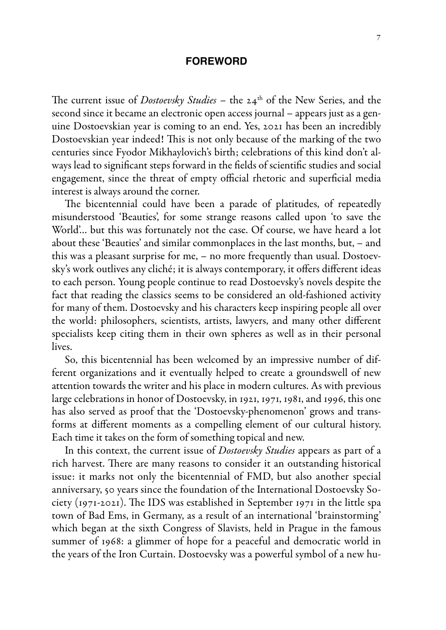## **foreword**

The current issue of *Dostoevsky Studies* - the 24<sup>th</sup> of the New Series, and the second since it became an electronic open access journal – appears just as a genuine Dostoevskian year is coming to an end. Yes, 2021 has been an incredibly Dostoevskian year indeed! This is not only because of the marking of the two centuries since Fyodor Mikhaylovich's birth; celebrations of this kind don't always lead to significant steps forward in the fields of scientific studies and social engagement, since the threat of empty official rhetoric and superficial media interest is always around the corner.

The bicentennial could have been a parade of platitudes, of repeatedly misunderstood 'Beauties', for some strange reasons called upon 'to save the World'… but this was fortunately not the case. Of course, we have heard a lot about these 'Beauties' and similar commonplaces in the last months, but, – and this was a pleasant surprise for me, – no more frequently than usual. Dostoevsky's work outlives any cliché; it is always contemporary, it offers different ideas to each person. Young people continue to read Dostoevsky's novels despite the fact that reading the classics seems to be considered an old-fashioned activity for many of them. Dostoevsky and his characters keep inspiring people all over the world: philosophers, scientists, artists, lawyers, and many other different specialists keep citing them in their own spheres as well as in their personal lives.

So, this bicentennial has been welcomed by an impressive number of different organizations and it eventually helped to create a groundswell of new attention towards the writer and his place in modern cultures. As with previous large celebrations in honor of Dostoevsky, in 1921, 1971, 1981, and 1996, this one has also served as proof that the 'Dostoevsky-phenomenon' grows and transforms at different moments as a compelling element of our cultural history. Each time it takes on the form of something topical and new.

In this context, the current issue of *Dostoevsky Studies* appears as part of a rich harvest. There are many reasons to consider it an outstanding historical issue: it marks not only the bicentennial of FMD, but also another special anniversary, 50 years since the foundation of the International Dostoevsky Society (1971-2021). The IDS was established in September 1971 in the little spa town of Bad Ems, in Germany, as a result of an international 'brainstorming' which began at the sixth Congress of Slavists, held in Prague in the famous summer of 1968: a glimmer of hope for a peaceful and democratic world in the years of the Iron Curtain. Dostoevsky was a powerful symbol of a new hu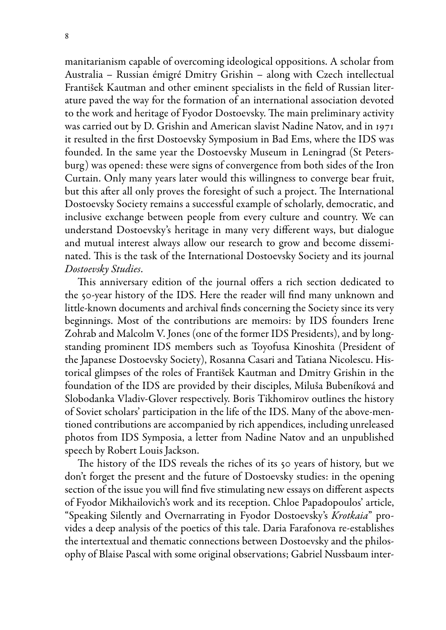manitarianism capable of overcoming ideological oppositions. A scholar from Australia – Russian émigré Dmitry Grishin – along with Czech intellectual František Kautman and other eminent specialists in the field of Russian literature paved the way for the formation of an international association devoted to the work and heritage of Fyodor Dostoevsky. The main preliminary activity was carried out by D. Grishin and American slavist Nadine Natov, and in 1971 it resulted in the first Dostoevsky Symposium in Bad Ems, where the IDS was founded. In the same year the Dostoevsky Museum in Leningrad (St Petersburg) was opened: these were signs of convergence from both sides of the Iron Curtain. Only many years later would this willingness to converge bear fruit, but this after all only proves the foresight of such a project. The International Dostoevsky Society remains a successful example of scholarly, democratic, and inclusive exchange between people from every culture and country. We can understand Dostoevsky's heritage in many very different ways, but dialogue and mutual interest always allow our research to grow and become disseminated. This is the task of the International Dostoevsky Society and its journal *Dostoevsky Studies*.

This anniversary edition of the journal offers a rich section dedicated to the 50-year history of the IDS. Here the reader will find many unknown and little-known documents and archival finds concerning the Society since its very beginnings. Most of the contributions are memoirs: by IDS founders Irene Zohrab and Malcolm V. Jones (one of the former IDS Presidents), and by longstanding prominent IDS members such as Toyofusa Kinoshita (President of the Japanese Dostoevsky Society), Rosanna Casari and Tatiana Nicolescu. Historical glimpses of the roles of František Kautman and Dmitry Grishin in the foundation of the IDS are provided by their disciples, Miluša Bubeníková and Slobodanka Vladiv-Glover respectively. Boris Tikhomirov outlines the history of Soviet scholars' participation in the life of the IDS. Many of the above-mentioned contributions are accompanied by rich appendices, including unreleased photos from IDS Symposia, a letter from Nadine Natov and an unpublished speech by Robert Louis Jackson.

The history of the IDS reveals the riches of its 50 years of history, but we don't forget the present and the future of Dostoevsky studies: in the opening section of the issue you will find five stimulating new essays on different aspects of Fyodor Mikhailovich's work and its reception. Chloe Papadopoulos' article, "Speaking Silently and Overnarrating in Fyodor Dostoevsky's *Krotkaia*" provides a deep analysis of the poetics of this tale. Daria Farafonova re-establishes the intertextual and thematic connections between Dostoevsky and the philosophy of Blaise Pascal with some original observations; Gabriel Nussbaum inter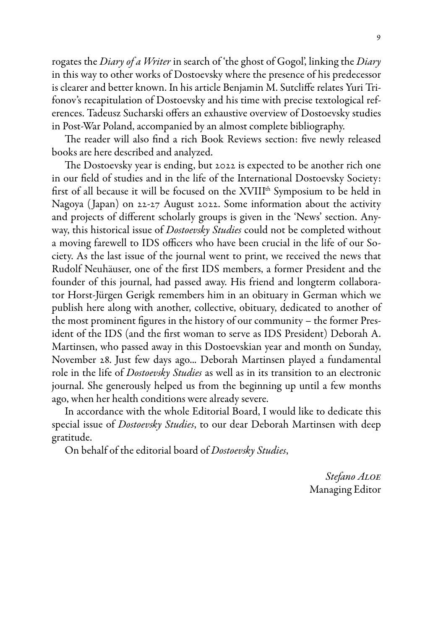rogates the *Diary of a Writer* in search of 'the ghost of Gogol', linking the *Diary* in this way to other works of Dostoevsky where the presence of his predecessor is clearer and better known. In his article Benjamin M. Sutcliffe relates Yuri Trifonov's recapitulation of Dostoevsky and his time with precise textological references. Tadeusz Sucharski offers an exhaustive overview of Dostoevsky studies in Post-War Poland, accompanied by an almost complete bibliography.

The reader will also find a rich Book Reviews section: five newly released books are here described and analyzed.

The Dostoevsky year is ending, but 2022 is expected to be another rich one in our field of studies and in the life of the International Dostoevsky Society: first of all because it will be focused on the XVIIIth Symposium to be held in Nagoya ( Japan) on 22-27 August 2022. Some information about the activity and projects of different scholarly groups is given in the 'News' section. Anyway, this historical issue of *Dostoevsky Studies* could not be completed without a moving farewell to IDS officers who have been crucial in the life of our Society. As the last issue of the journal went to print, we received the news that Rudolf Neuhäuser, one of the first IDS members, a former President and the founder of this journal, had passed away. His friend and longterm collaborator Horst-Jürgen Gerigk remembers him in an obituary in German which we publish here along with another, collective, obituary, dedicated to another of the most prominent figures in the history of our community – the former President of the IDS (and the first woman to serve as IDS President) Deborah A. Martinsen, who passed away in this Dostoevskian year and month on Sunday, November 28. Just few days ago... Deborah Martinsen played a fundamental role in the life of *Dostoevsky Studies* as well as in its transition to an electronic journal. She generously helped us from the beginning up until a few months ago, when her health conditions were already severe.

In accordance with the whole Editorial Board, I would like to dedicate this special issue of *Dostoevsky Studies*, to our dear Deborah Martinsen with deep gratitude.

On behalf of the editorial board of *Dostoevsky Studies*,

*Stefano Aloe* Managing Editor